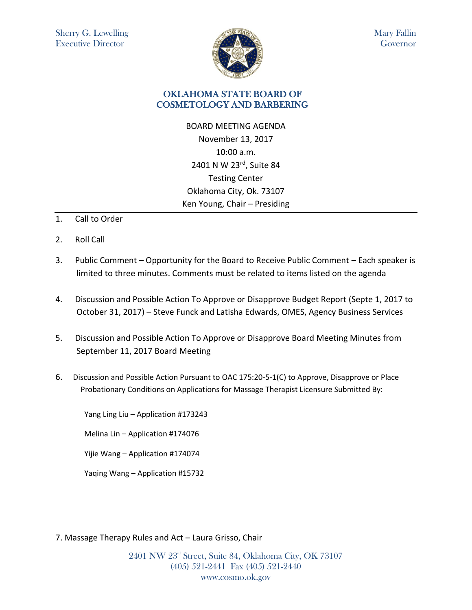

Mary Fallin Governor

## OKLAHOMA STATE BOARD OF COSMETOLOGY AND BARBERING

BOARD MEETING AGENDA November 13, 2017 10:00 a.m. 2401 N W 23rd, Suite 84 Testing Center Oklahoma City, Ok. 73107 Ken Young, Chair – Presiding

- 1. Call to Order
- 2. Roll Call
- 3. Public Comment Opportunity for the Board to Receive Public Comment Each speaker is limited to three minutes. Comments must be related to items listed on the agenda
- 4. Discussion and Possible Action To Approve or Disapprove Budget Report (Septe 1, 2017 to October 31, 2017) – Steve Funck and Latisha Edwards, OMES, Agency Business Services
- 5. Discussion and Possible Action To Approve or Disapprove Board Meeting Minutes from September 11, 2017 Board Meeting
- 6. Discussion and Possible Action Pursuant to OAC 175:20-5-1(C) to Approve, Disapprove or Place Probationary Conditions on Applications for Massage Therapist Licensure Submitted By:

Yang Ling Liu – Application #173243

Melina Lin – Application #174076

Yijie Wang – Application #174074

Yaqing Wang – Application #15732

7. Massage Therapy Rules and Act – Laura Grisso, Chair

2401 NW 23rd Street, Suite 84, Oklahoma City, OK 73107 (405) 521-2441 Fax (405) 521-2440 www.cosmo.ok.gov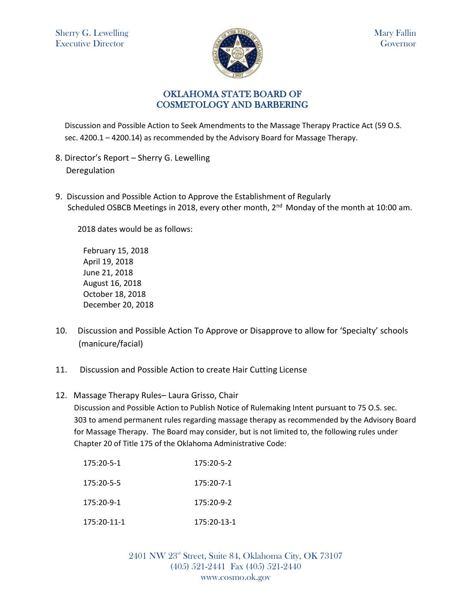

## OKLAHOMA STATE BOARD OF COSMETOLOGY AND BARBERING

Discussion and Possible Action to Seek Amendments to the Massage Therapy Practice Act (59 O.S. sec. 4200.1 – 4200.14) as recommended by the Advisory Board for Massage Therapy.

- 8. Director's Report Sherry G. Lewelling Deregulation
- 9. Discussion and Possible Action to Approve the Establishment of Regularly Scheduled OSBCB Meetings in 2018, every other month, 2<sup>nd</sup> Monday of the month at 10:00 am.

2018 dates would be as follows:

February 15, 2018 April 19, 2018 June 21, 2018 August 16, 2018 October 18, 2018 December 20, 2018

- 10. Discussion and Possible Action To Approve or Disapprove to allow for 'Specialty' schools (manicure/facial)
- 11. Discussion and Possible Action to create Hair Cutting License
- 12. Massage Therapy Rules– Laura Grisso, Chair

Discussion and Possible Action to Publish Notice of Rulemaking Intent pursuant to 75 O.S. sec. 303 to amend permanent rules regarding massage therapy as recommended by the Advisory Board for Massage Therapy. The Board may consider, but is not limited to, the following rules under Chapter 20 of Title 175 of the Oklahoma Administrative Code:

| 175:20-5-1   | $175:20 - 5 - 2$ |
|--------------|------------------|
| 175:20-5-5   | 175:20-7-1       |
| $175:20-9-1$ | 175:20-9-2       |
| 175:20-11-1  | 175:20-13-1      |

2401 NW 23rd Street, Suite 84, Oklahoma City, OK 73107 (405) 521-2441 Fax (405) 521-2440 www.cosmo.ok.gov